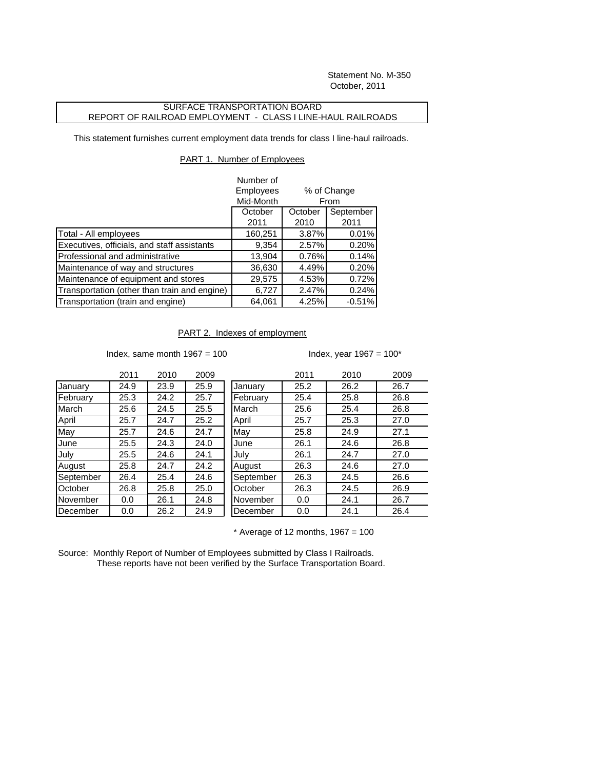Statement No. M-350 October, 2011

## SURFACE TRANSPORTATION BOARD REPORT OF RAILROAD EMPLOYMENT - CLASS I LINE-HAUL RAILROADS

This statement furnishes current employment data trends for class I line-haul railroads.

## PART 1. Number of Employees

|                                              | Number of          |                     |           |
|----------------------------------------------|--------------------|---------------------|-----------|
|                                              | <b>Employees</b>   | % of Change<br>From |           |
|                                              | Mid-Month          |                     |           |
|                                              | October<br>October |                     | September |
|                                              | 2011               | 2010                | 2011      |
| Total - All employees                        | 160,251            | 3.87%               | 0.01%     |
| Executives, officials, and staff assistants  | 9,354              | 2.57%               | 0.20%     |
| Professional and administrative              | 13,904             | 0.76%               | 0.14%     |
| Maintenance of way and structures            | 36,630             | 4.49%               | 0.20%     |
| Maintenance of equipment and stores          | 29,575             | 4.53%               | 0.72%     |
| Transportation (other than train and engine) | 6,727              | 2.47%               | 0.24%     |
| Transportation (train and engine)            | 64,061             | 4.25%               | $-0.51%$  |

## PART 2. Indexes of employment

Index, same month  $1967 = 100$  Index, year  $1967 = 100$ \*

|           | 2011 | 2010 | 2009 |
|-----------|------|------|------|
| January   | 24.9 | 23.9 | 25.9 |
| February  | 25.3 | 24.2 | 25.7 |
| March     | 25.6 | 24.5 | 25.5 |
| April     | 25.7 | 24.7 | 25.2 |
| May       | 25.7 | 24.6 | 24.7 |
| June      | 25.5 | 24.3 | 24.0 |
| July      | 25.5 | 24.6 | 24.1 |
| August    | 25.8 | 24.7 | 24.2 |
| September | 26.4 | 25.4 | 24.6 |
| October   | 26.8 | 25.8 | 25.0 |
| November  | 0.0  | 26.1 | 24.8 |
| December  | 0.0  | 26.2 | 24.9 |

|           | 2011 | 2010 | 2009 |           | 2011 | 2010 | 2009 |
|-----------|------|------|------|-----------|------|------|------|
| January   | 24.9 | 23.9 | 25.9 | January   | 25.2 | 26.2 | 26.7 |
| February  | 25.3 | 24.2 | 25.7 | February  | 25.4 | 25.8 | 26.8 |
| March     | 25.6 | 24.5 | 25.5 | March     | 25.6 | 25.4 | 26.8 |
| April     | 25.7 | 24.7 | 25.2 | April     | 25.7 | 25.3 | 27.0 |
| May       | 25.7 | 24.6 | 24.7 | May       | 25.8 | 24.9 | 27.1 |
| June      | 25.5 | 24.3 | 24.0 | June      | 26.1 | 24.6 | 26.8 |
| July      | 25.5 | 24.6 | 24.1 | July      | 26.1 | 24.7 | 27.0 |
| August    | 25.8 | 24.7 | 24.2 | August    | 26.3 | 24.6 | 27.0 |
| September | 26.4 | 25.4 | 24.6 | September | 26.3 | 24.5 | 26.6 |
| October   | 26.8 | 25.8 | 25.0 | October   | 26.3 | 24.5 | 26.9 |
| November  | 0.0  | 26.1 | 24.8 | November  | 0.0  | 24.1 | 26.7 |
| December  | 0.0  | 26.2 | 24.9 | December  | 0.0  | 24.1 | 26.4 |
|           |      |      |      |           |      |      |      |

 $*$  Average of 12 months, 1967 = 100

Source: Monthly Report of Number of Employees submitted by Class I Railroads. These reports have not been verified by the Surface Transportation Board.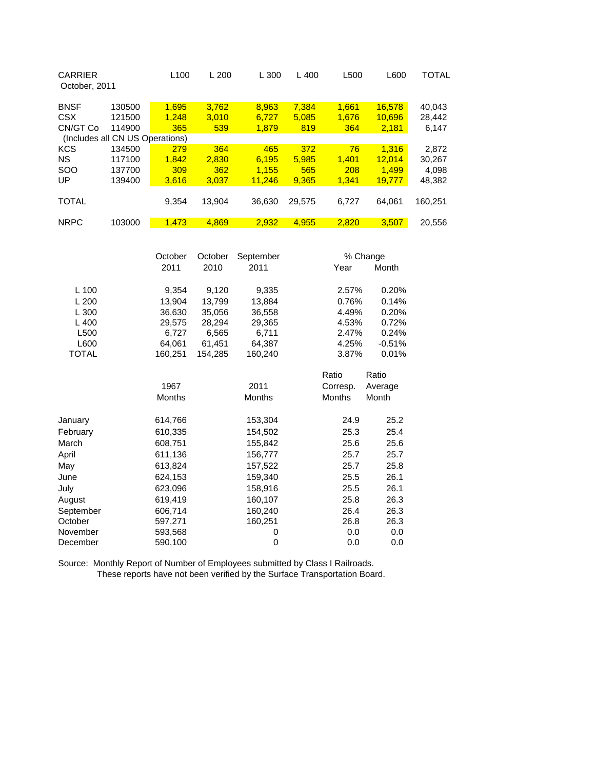| <b>CARRIER</b><br>October, 2011 |                                 | L <sub>100</sub> | L200   | L 300  | L400   | L500  | L600   | TOTAL   |
|---------------------------------|---------------------------------|------------------|--------|--------|--------|-------|--------|---------|
| <b>BNSF</b>                     | 130500                          | 1,695            | 3.762  | 8,963  | 7.384  | 1.661 | 16.578 | 40,043  |
| CSX                             | 121500                          | 1.248            | 3.010  | 6.727  | 5,085  | 1,676 | 10.696 | 28,442  |
| CN/GT Co                        | 114900                          | 365              | 539    | 1.879  | 819    | 364   | 2,181  | 6,147   |
|                                 | (Includes all CN US Operations) |                  |        |        |        |       |        |         |
| <b>KCS</b>                      | 134500                          | 279              | 364    | 465    | 372    | 76    | 1.316  | 2,872   |
| <b>NS</b>                       | 117100                          | 1.842            | 2.830  | 6.195  | 5.985  | 1.401 | 12.014 | 30.267  |
| <b>SOO</b>                      | 137700                          | 309              | 362    | 1.155  | 565    | 208   | 1.499  | 4.098   |
| UP                              | 139400                          | 3.616            | 3,037  | 11.246 | 9.365  | 1.341 | 19,777 | 48,382  |
|                                 |                                 |                  |        |        |        |       |        |         |
| <b>TOTAL</b>                    |                                 | 9,354            | 13.904 | 36,630 | 29.575 | 6,727 | 64,061 | 160.251 |
|                                 |                                 |                  |        |        |        |       |        |         |
| <b>NRPC</b>                     | 103000                          | 1.473            | 4.869  | 2.932  | 4.955  | 2.820 | 3.507  | 20.556  |

|              | October       | October | September     |               | % Change |
|--------------|---------------|---------|---------------|---------------|----------|
|              | 2011          | 2010    | 2011          | Year          | Month    |
| $L$ 100      | 9,354         | 9,120   | 9,335         | 2.57%         | 0.20%    |
| L200         | 13,904        | 13.799  | 13,884        | 0.76%         | 0.14%    |
| L 300        | 36,630        | 35,056  | 36,558        | 4.49%         | 0.20%    |
| $L$ 400      | 29,575        | 28,294  | 29,365        | 4.53%         | 0.72%    |
| L500         | 6,727         | 6,565   | 6,711         | 2.47%         | 0.24%    |
| L600         | 64,061        | 61,451  | 64,387        | 4.25%         | $-0.51%$ |
| <b>TOTAL</b> | 160,251       | 154,285 | 160,240       | 3.87%         | 0.01%    |
|              |               |         |               | Ratio         | Ratio    |
|              | 1967          |         | 2011          | Corresp.      | Average  |
|              | <b>Months</b> |         | <b>Months</b> | <b>Months</b> | Month    |
| January      | 614,766       |         | 153,304       | 24.9          | 25.2     |
| February     | 610,335       |         | 154,502       | 25.3          | 25.4     |
| March        | 608,751       |         | 155,842       | 25.6          | 25.6     |
| April        | 611,136       |         | 156,777       | 25.7          | 25.7     |
| May          | 613,824       |         | 157,522       | 25.7          | 25.8     |
| June         | 624,153       |         | 159,340       | 25.5          | 26.1     |
| July         | 623,096       |         | 158,916       | 25.5          | 26.1     |
| August       | 619,419       |         | 160,107       | 25.8          | 26.3     |
| September    | 606,714       |         | 160,240       | 26.4          | 26.3     |
| October      | 597,271       |         | 160,251       | 26.8          | 26.3     |
| November     | 593,568       |         | 0             | 0.0           | 0.0      |
| December     | 590,100       |         | 0             | 0.0           | 0.0      |

Source: Monthly Report of Number of Employees submitted by Class I Railroads. These reports have not been verified by the Surface Transportation Board.